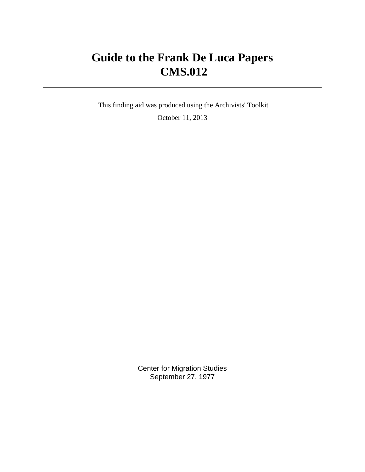# **Guide to the Frank De Luca Papers CMS.012**

 This finding aid was produced using the Archivists' Toolkit October 11, 2013

> Center for Migration Studies September 27, 1977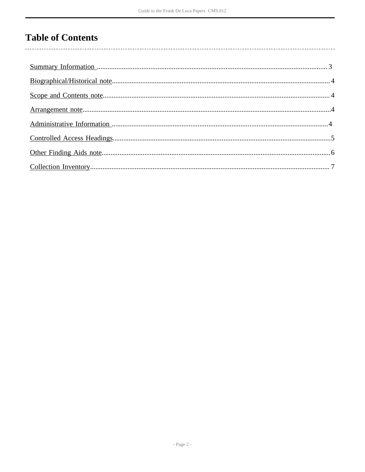## **Table of Contents**

 $\overline{\phantom{a}}$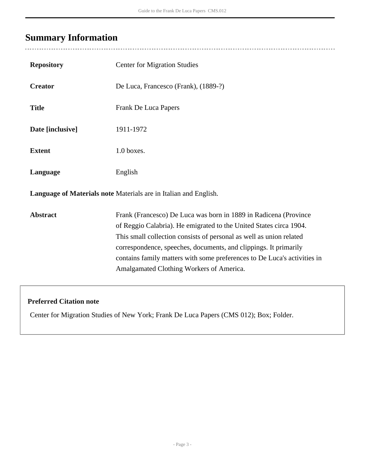## <span id="page-2-0"></span>**Summary Information**

 $\overline{a}$ 

| <b>Repository</b>                                                | <b>Center for Migration Studies</b>                                                                                                                                                                                                                                                                                                                                                                       |  |  |  |  |
|------------------------------------------------------------------|-----------------------------------------------------------------------------------------------------------------------------------------------------------------------------------------------------------------------------------------------------------------------------------------------------------------------------------------------------------------------------------------------------------|--|--|--|--|
| <b>Creator</b>                                                   | De Luca, Francesco (Frank), (1889-?)                                                                                                                                                                                                                                                                                                                                                                      |  |  |  |  |
| <b>Title</b>                                                     | Frank De Luca Papers                                                                                                                                                                                                                                                                                                                                                                                      |  |  |  |  |
| Date [inclusive]                                                 | 1911-1972                                                                                                                                                                                                                                                                                                                                                                                                 |  |  |  |  |
| <b>Extent</b>                                                    | 1.0 boxes.                                                                                                                                                                                                                                                                                                                                                                                                |  |  |  |  |
| Language                                                         | English                                                                                                                                                                                                                                                                                                                                                                                                   |  |  |  |  |
| Language of Materials note Materials are in Italian and English. |                                                                                                                                                                                                                                                                                                                                                                                                           |  |  |  |  |
| <b>Abstract</b>                                                  | Frank (Francesco) De Luca was born in 1889 in Radicena (Province<br>of Reggio Calabria). He emigrated to the United States circa 1904.<br>This small collection consists of personal as well as union related<br>correspondence, speeches, documents, and clippings. It primarily<br>contains family matters with some preferences to De Luca's activities in<br>Amalgamated Clothing Workers of America. |  |  |  |  |

### **Preferred Citation note**

Center for Migration Studies of New York; Frank De Luca Papers (CMS 012); Box; Folder.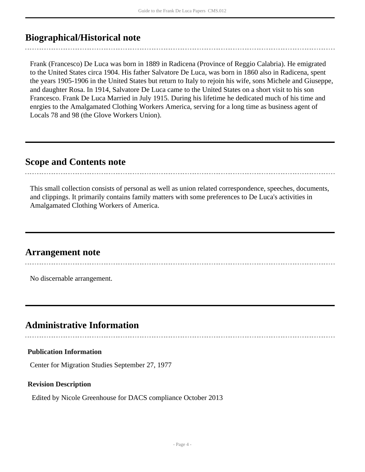### <span id="page-3-0"></span>**Biographical/Historical note**

Frank (Francesco) De Luca was born in 1889 in Radicena (Province of Reggio Calabria). He emigrated to the United States circa 1904. His father Salvatore De Luca, was born in 1860 also in Radicena, spent the years 1905-1906 in the United States but return to Italy to rejoin his wife, sons Michele and Giuseppe, and daughter Rosa. In 1914, Salvatore De Luca came to the United States on a short visit to his son Francesco. Frank De Luca Married in July 1915. During his lifetime he dedicated much of his time and enrgies to the Amalgamated Clothing Workers America, serving for a long time as business agent of Locals 78 and 98 (the Glove Workers Union).

### <span id="page-3-1"></span>**Scope and Contents note**

This small collection consists of personal as well as union related correspondence, speeches, documents, and clippings. It primarily contains family matters with some preferences to De Luca's activities in Amalgamated Clothing Workers of America.

### <span id="page-3-2"></span>**Arrangement note**

No discernable arrangement.

### <span id="page-3-3"></span>**Administrative Information**

#### **Publication Information**

Center for Migration Studies September 27, 1977

#### **Revision Description**

Edited by Nicole Greenhouse for DACS compliance October 2013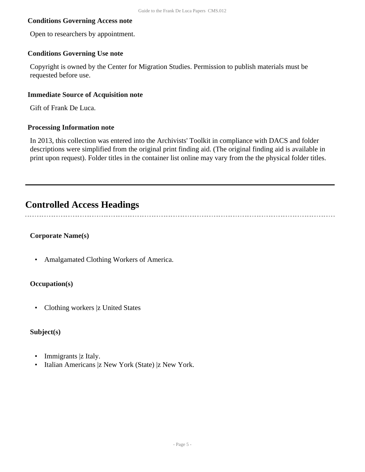#### **Conditions Governing Access note**

Open to researchers by appointment.

#### **Conditions Governing Use note**

Copyright is owned by the Center for Migration Studies. Permission to publish materials must be requested before use.

#### **Immediate Source of Acquisition note**

Gift of Frank De Luca.

#### **Processing Information note**

In 2013, this collection was entered into the Archivists' Toolkit in compliance with DACS and folder descriptions were simplified from the original print finding aid. (The original finding aid is available in print upon request). Folder titles in the container list online may vary from the the physical folder titles.

## <span id="page-4-0"></span>**Controlled Access Headings**

#### **Corporate Name(s)**

• Amalgamated Clothing Workers of America.

#### **Occupation(s)**

• Clothing workers |z United States

#### **Subject(s)**

- Immigrants |z Italy.
- Italian Americans |z New York (State) |z New York.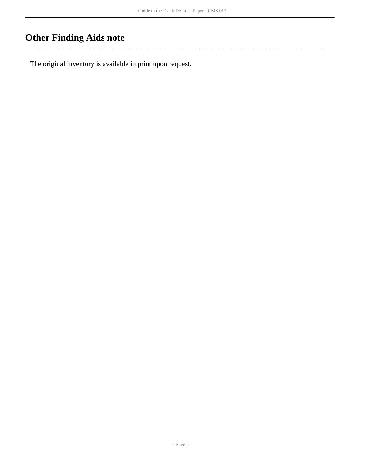## <span id="page-5-0"></span>**Other Finding Aids note**

 $\mathbb{R}^2$ 

The original inventory is available in print upon request.